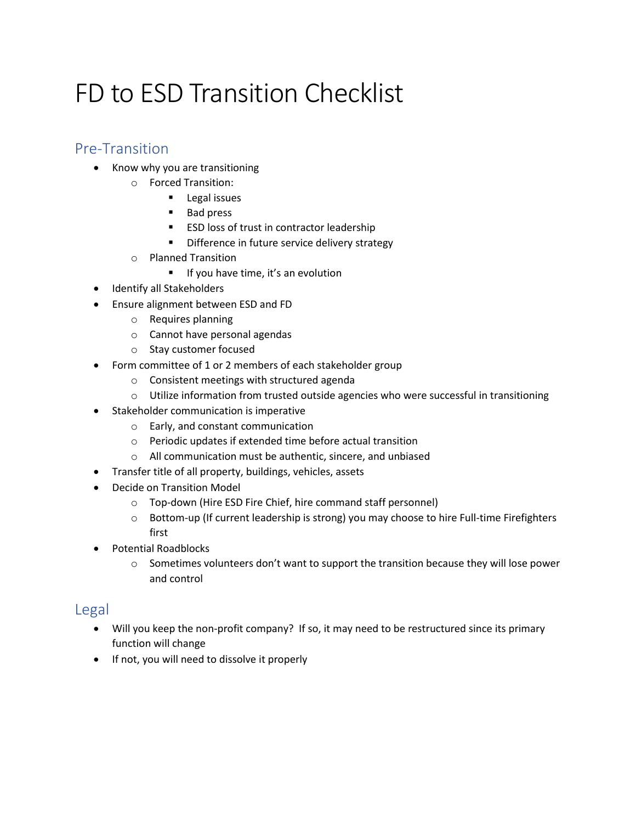# FD to ESD Transition Checklist

#### Pre-Transition

- Know why you are transitioning
	- o Forced Transition:
		- Legal issues
		- Bad press
		- ESD loss of trust in contractor leadership
		- Difference in future service delivery strategy
	- o Planned Transition
		- If you have time, it's an evolution
- Identify all Stakeholders
- Ensure alignment between ESD and FD
	- o Requires planning
	- o Cannot have personal agendas
	- o Stay customer focused
- Form committee of 1 or 2 members of each stakeholder group
	- o Consistent meetings with structured agenda
	- $\circ$  Utilize information from trusted outside agencies who were successful in transitioning
- Stakeholder communication is imperative
	- o Early, and constant communication
	- o Periodic updates if extended time before actual transition
	- o All communication must be authentic, sincere, and unbiased
- Transfer title of all property, buildings, vehicles, assets
- Decide on Transition Model
	- o Top-down (Hire ESD Fire Chief, hire command staff personnel)
	- o Bottom-up (If current leadership is strong) you may choose to hire Full-time Firefighters first
- Potential Roadblocks
	- $\circ$  Sometimes volunteers don't want to support the transition because they will lose power and control

#### Legal

- Will you keep the non-profit company? If so, it may need to be restructured since its primary function will change
- If not, you will need to dissolve it properly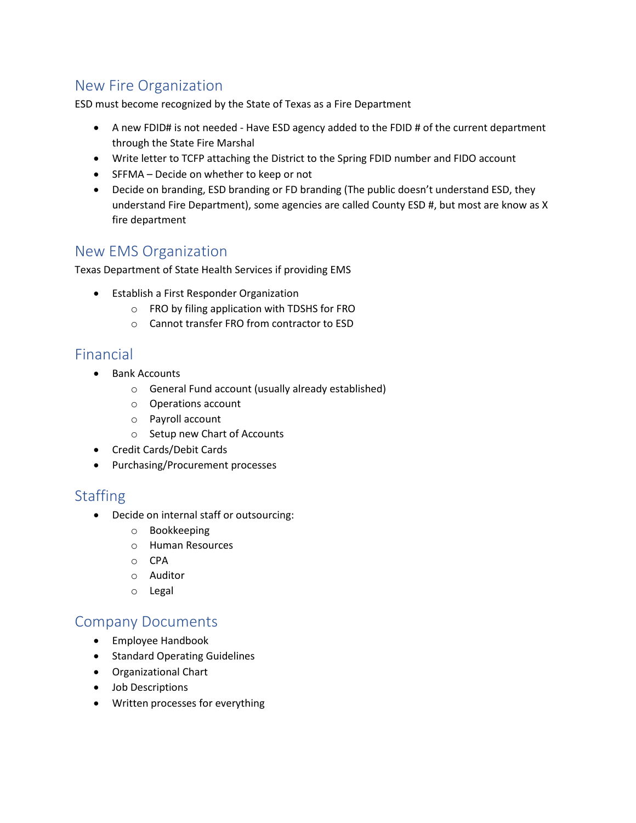## New Fire Organization

ESD must become recognized by the State of Texas as a Fire Department

- A new FDID# is not needed Have ESD agency added to the FDID # of the current department through the State Fire Marshal
- Write letter to TCFP attaching the District to the Spring FDID number and FIDO account
- SFFMA Decide on whether to keep or not
- Decide on branding, ESD branding or FD branding (The public doesn't understand ESD, they understand Fire Department), some agencies are called County ESD #, but most are know as X fire department

### New EMS Organization

Texas Department of State Health Services if providing EMS

- Establish a First Responder Organization
	- o FRO by filing application with TDSHS for FRO
	- o Cannot transfer FRO from contractor to ESD

#### Financial

- Bank Accounts
	- o General Fund account (usually already established)
	- o Operations account
	- o Payroll account
	- o Setup new Chart of Accounts
- Credit Cards/Debit Cards
- Purchasing/Procurement processes

## **Staffing**

- Decide on internal staff or outsourcing:
	- o Bookkeeping
	- o Human Resources
	- o CPA
	- o Auditor
	- o Legal

#### Company Documents

- Employee Handbook
- Standard Operating Guidelines
- Organizational Chart
- Job Descriptions
- Written processes for everything